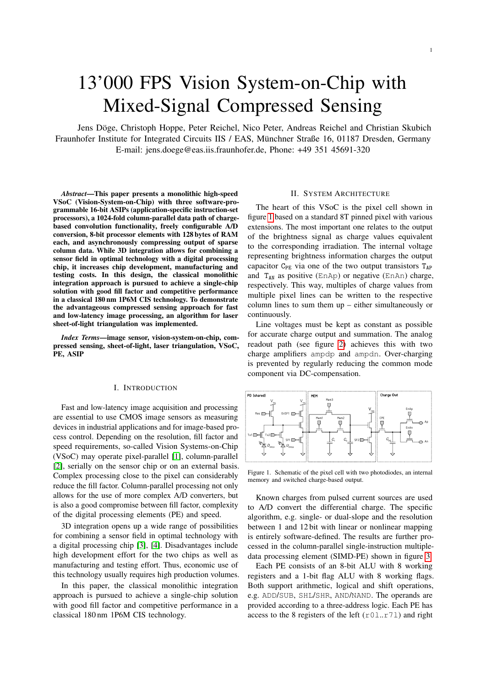# 13'000 FPS Vision System-on-Chip with Mixed-Signal Compressed Sensing

Jens Döge, Christoph Hoppe, Peter Reichel, Nico Peter, Andreas Reichel and Christian Skubich Fraunhofer Institute for Integrated Circuits IIS / EAS, Münchner Straße 16, 01187 Dresden, Germany E-mail: jens.doege@eas.iis.fraunhofer.de, Phone: +49 351 45691-320

*Abstract*—This paper presents a monolithic high-speed VSoC (Vision-System-on-Chip) with three software-programmable 16-bit ASIPs (application-specific instruction-set processors), a 1024-fold column-parallel data path of chargebased convolution functionality, freely configurable A/D conversion, 8-bit processor elements with 128 bytes of RAM each, and asynchronously compressing output of sparse column data. While 3D integration allows for combining a sensor field in optimal technology with a digital processing chip, it increases chip development, manufacturing and testing costs. In this design, the classical monolithic integration approach is pursued to achieve a single-chip solution with good fill factor and competitive performance in a classical 180 nm 1P6M CIS technology. To demonstrate the advantageous compressed sensing approach for fast and low-latency image processing, an algorithm for laser sheet-of-light triangulation was implemented.

*Index Terms*—image sensor, vision-system-on-chip, compressed sensing, sheet-of-light, laser triangulation, VSoC, PE, ASIP

# I. INTRODUCTION

Fast and low-latency image acquisition and processing are essential to use CMOS image sensors as measuring devices in industrial applications and for image-based process control. Depending on the resolution, fill factor and speed requirements, so-called Vision Systems-on-Chip (VSoC) may operate pixel-parallel [\[1\]](#page-3-0), column-parallel [\[2\]](#page-3-1), serially on the sensor chip or on an external basis. Complex processing close to the pixel can considerably reduce the fill factor. Column-parallel processing not only allows for the use of more complex A/D converters, but is also a good compromise between fill factor, complexity of the digital processing elements (PE) and speed.

3D integration opens up a wide range of possibilities for combining a sensor field in optimal technology with a digital processing chip [\[3\]](#page-3-2), [\[4\]](#page-3-3). Disadvantages include high development effort for the two chips as well as manufacturing and testing effort. Thus, economic use of this technology usually requires high production volumes.

In this paper, the classical monolithic integration approach is pursued to achieve a single-chip solution with good fill factor and competitive performance in a classical 180 nm 1P6M CIS technology.

## II. SYSTEM ARCHITECTURE

1

The heart of this VSoC is the pixel cell shown in figure [1](#page-0-0) based on a standard 8T pinned pixel with various extensions. The most important one relates to the output of the brightness signal as charge values equivalent to the corresponding irradiation. The internal voltage representing brightness information charges the output capacitor  $C_{PE}$  via one of the two output transistors  $T_{AP}$ and  $T_{AN}$  as positive (EnAp) or negative (EnAn) charge, respectively. This way, multiples of charge values from multiple pixel lines can be written to the respective column lines to sum them up – either simultaneously or continuously.

Line voltages must be kept as constant as possible for accurate charge output and summation. The analog readout path (see figure [2\)](#page-1-0) achieves this with two charge amplifiers ampdp and ampdn. Over-charging is prevented by regularly reducing the common mode component via DC-compensation.



<span id="page-0-0"></span>Figure 1. Schematic of the pixel cell with two photodiodes, an internal memory and switched charge-based output.

Known charges from pulsed current sources are used to A/D convert the differential charge. The specific algorithm, e.g. single- or dual-slope and the resolution between 1 and 12 bit with linear or nonlinear mapping is entirely software-defined. The results are further processed in the column-parallel single-instruction multipledata processing element (SIMD-PE) shown in figure [3.](#page-1-1)

Each PE consists of an 8-bit ALU with 8 working registers and a 1-bit flag ALU with 8 working flags. Both support arithmetic, logical and shift operations, e.g. ADD/SUB, SHL/SHR, AND/NAND. The operands are provided according to a three-address logic. Each PE has access to the 8 registers of the left  $(1.1 \cdot 71)$  and right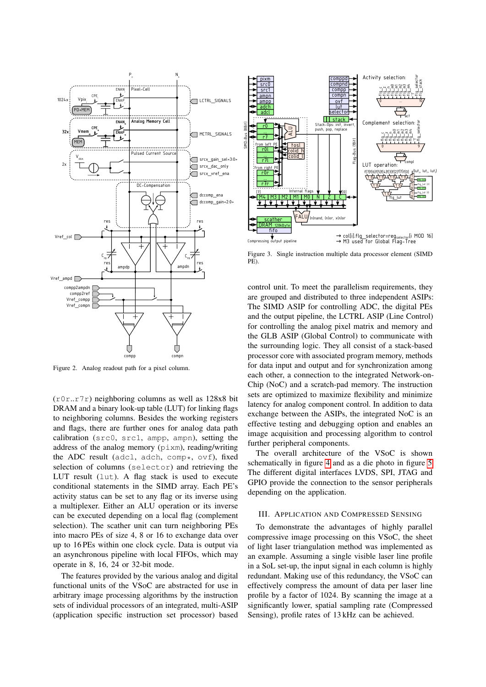

<span id="page-1-0"></span>Figure 2. Analog readout path for a pixel column.

 $(10r..17r)$  neighboring columns as well as 128x8 bit DRAM and a binary look-up table (LUT) for linking flags to neighboring columns. Besides the working registers and flags, there are further ones for analog data path calibration (src0, src1, ampp, ampn), setting the address of the analog memory (pixm), reading/writing the ADC result (adcl, adch, comp $\star$ , ovf), fixed selection of columns (selector) and retrieving the LUT result (lut). A flag stack is used to execute conditional statements in the SIMD array. Each PE's activity status can be set to any flag or its inverse using a multiplexer. Either an ALU operation or its inverse can be executed depending on a local flag (complement selection). The scather unit can turn neighboring PEs into macro PEs of size 4, 8 or 16 to exchange data over up to 16 PEs within one clock cycle. Data is output via an asynchronous pipeline with local FIFOs, which may operate in 8, 16, 24 or 32-bit mode.

The features provided by the various analog and digital functional units of the VSoC are abstracted for use in arbitrary image processing algorithms by the instruction sets of individual processors of an integrated, multi-ASIP (application specific instruction set processor) based



<span id="page-1-1"></span>Figure 3. Single instruction multiple data processor element (SIMD PE)

control unit. To meet the parallelism requirements, they are grouped and distributed to three independent ASIPs: The SIMD ASIP for controlling ADC, the digital PEs and the output pipeline, the LCTRL ASIP (Line Control) for controlling the analog pixel matrix and memory and the GLB ASIP (Global Control) to communicate with the surrounding logic. They all consist of a stack-based processor core with associated program memory, methods for data input and output and for synchronization among each other, a connection to the integrated Network-on-Chip (NoC) and a scratch-pad memory. The instruction sets are optimized to maximize flexibility and minimize latency for analog component control. In addition to data exchange between the ASIPs, the integrated NoC is an effective testing and debugging option and enables an image acquisition and processing algorithm to control further peripheral components.

The overall architecture of the VSoC is shown schematically in figure [4](#page-2-0) and as a die photo in figure [5.](#page-2-1) The different digital interfaces LVDS, SPI, JTAG and GPIO provide the connection to the sensor peripherals depending on the application.

#### III. APPLICATION AND COMPRESSED SENSING

To demonstrate the advantages of highly parallel compressive image processing on this VSoC, the sheet of light laser triangulation method was implemented as an example. Assuming a single visible laser line profile in a SoL set-up, the input signal in each column is highly redundant. Making use of this redundancy, the VSoC can effectively compress the amount of data per laser line profile by a factor of 1024. By scanning the image at a significantly lower, spatial sampling rate (Compressed Sensing), profile rates of 13 kHz can be achieved.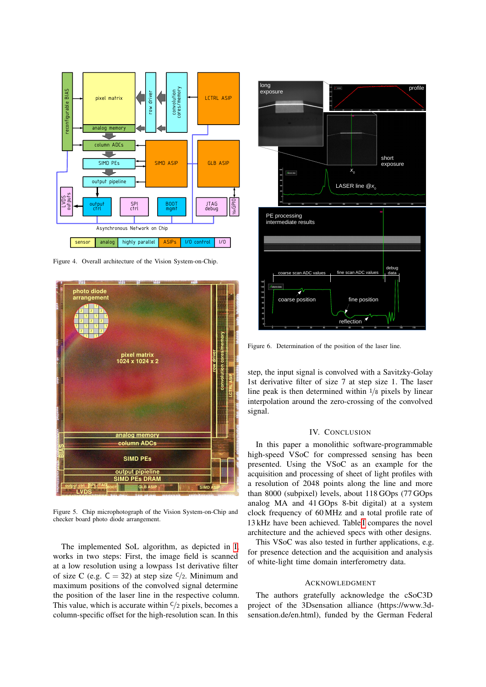

<span id="page-2-0"></span>Figure 4. Overall architecture of the Vision System-on-Chip.



<span id="page-2-1"></span>Figure 5. Chip microphotograph of the Vision System-on-Chip and checker board photo diode arrangement.

The implemented SoL algorithm, as depicted in [I,](#page-3-4) works in two steps: First, the image field is scanned at a low resolution using a lowpass 1st derivative filter of size C (e.g.  $C = 32$ ) at step size  $\frac{c}{2}$ . Minimum and maximum positions of the convolved signal determine the position of the laser line in the respective column. This value, which is accurate within  $C/2$  pixels, becomes a column-specific offset for the high-resolution scan. In this



Figure 6. Determination of the position of the laser line.

step, the input signal is convolved with a Savitzky-Golay 1st derivative filter of size 7 at step size 1. The laser line peak is then determined within <sup>1</sup>/<sup>8</sup> pixels by linear interpolation around the zero-crossing of the convolved signal.

## IV. CONCLUSION

In this paper a monolithic software-programmable high-speed VSoC for compressed sensing has been presented. Using the VSoC as an example for the acquisition and processing of sheet of light profiles with a resolution of 2048 points along the line and more than 8000 (subpixel) levels, about 118 GOps (77 GOps analog MA and 41 GOps 8-bit digital) at a system clock frequency of 60 MHz and a total profile rate of 13 kHz have been achieved. Table [I](#page-3-4) compares the novel architecture and the achieved specs with other designs.

This VSoC was also tested in further applications, e.g. for presence detection and the acquisition and analysis of white-light time domain interferometry data.

### ACKNOWLEDGMENT

The authors gratefully acknowledge the cSoC3D project of the 3Dsensation alliance (https://www.3dsensation.de/en.html), funded by the German Federal